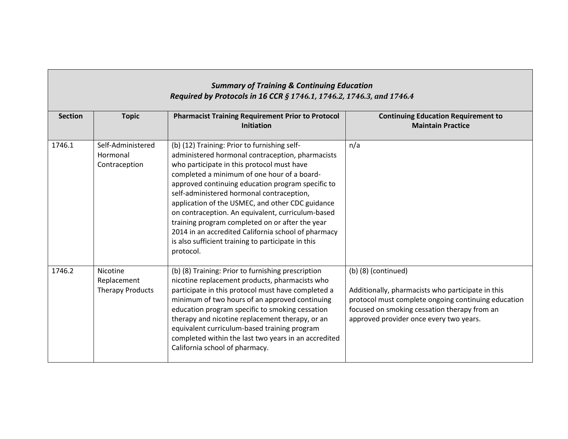| <b>Summary of Training &amp; Continuing Education</b><br>Required by Protocols in 16 CCR § 1746.1, 1746.2, 1746.3, and 1746.4 |                                                    |                                                                                                                                                                                                                                                                                                                                                                                                                                                                                                                                                                                       |                                                                                                                                                                                                                              |  |  |
|-------------------------------------------------------------------------------------------------------------------------------|----------------------------------------------------|---------------------------------------------------------------------------------------------------------------------------------------------------------------------------------------------------------------------------------------------------------------------------------------------------------------------------------------------------------------------------------------------------------------------------------------------------------------------------------------------------------------------------------------------------------------------------------------|------------------------------------------------------------------------------------------------------------------------------------------------------------------------------------------------------------------------------|--|--|
| <b>Section</b>                                                                                                                | <b>Topic</b>                                       | <b>Pharmacist Training Requirement Prior to Protocol</b><br><b>Initiation</b>                                                                                                                                                                                                                                                                                                                                                                                                                                                                                                         | <b>Continuing Education Requirement to</b><br><b>Maintain Practice</b>                                                                                                                                                       |  |  |
| 1746.1                                                                                                                        | Self-Administered<br>Hormonal<br>Contraception     | (b) (12) Training: Prior to furnishing self-<br>administered hormonal contraception, pharmacists<br>who participate in this protocol must have<br>completed a minimum of one hour of a board-<br>approved continuing education program specific to<br>self-administered hormonal contraception,<br>application of the USMEC, and other CDC guidance<br>on contraception. An equivalent, curriculum-based<br>training program completed on or after the year<br>2014 in an accredited California school of pharmacy<br>is also sufficient training to participate in this<br>protocol. | n/a                                                                                                                                                                                                                          |  |  |
| 1746.2                                                                                                                        | Nicotine<br>Replacement<br><b>Therapy Products</b> | (b) (8) Training: Prior to furnishing prescription<br>nicotine replacement products, pharmacists who<br>participate in this protocol must have completed a<br>minimum of two hours of an approved continuing<br>education program specific to smoking cessation<br>therapy and nicotine replacement therapy, or an<br>equivalent curriculum-based training program<br>completed within the last two years in an accredited<br>California school of pharmacy.                                                                                                                          | $(b)$ (8) (continued)<br>Additionally, pharmacists who participate in this<br>protocol must complete ongoing continuing education<br>focused on smoking cessation therapy from an<br>approved provider once every two years. |  |  |